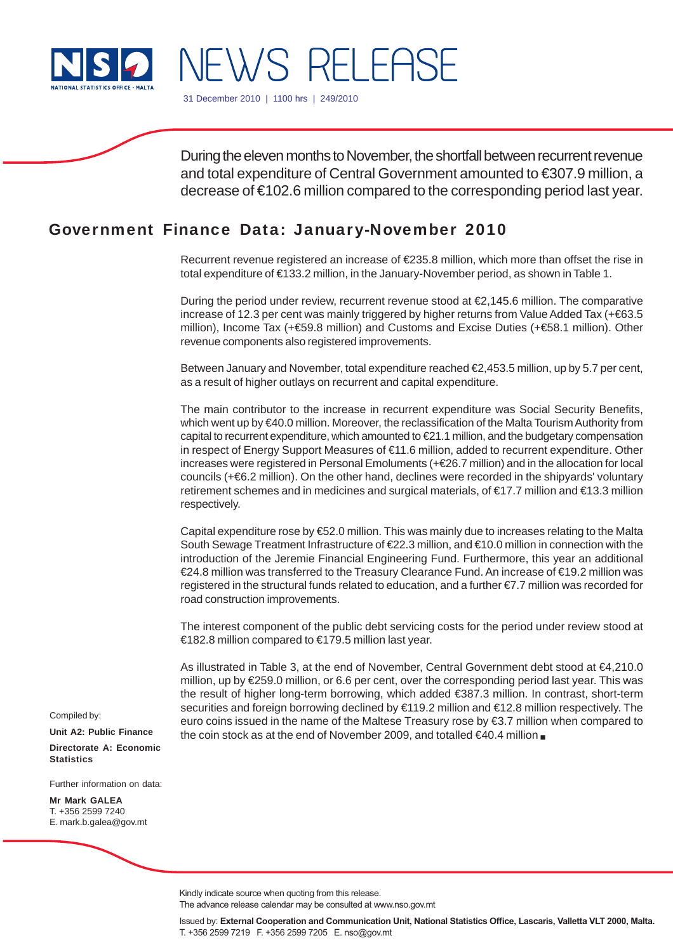

NEWS RELEASE

31 December 2010 | 1100 hrs | 249/2010

During the eleven months to November, the shortfall between recurrent revenue and total expenditure of Central Government amounted to €307.9 million, a decrease of €102.6 million compared to the corresponding period last year.

# Government Finance Data: January-November 2010

Recurrent revenue registered an increase of €235.8 million, which more than offset the rise in total expenditure of €133.2 million, in the January-November period, as shown in Table 1.

During the period under review, recurrent revenue stood at €2,145.6 million. The comparative increase of 12.3 per cent was mainly triggered by higher returns from Value Added Tax (+€63.5 million), Income Tax (+€59.8 million) and Customs and Excise Duties (+€58.1 million). Other revenue components also registered improvements.

Between January and November, total expenditure reached €2,453.5 million, up by 5.7 per cent, as a result of higher outlays on recurrent and capital expenditure.

The main contributor to the increase in recurrent expenditure was Social Security Benefits, which went up by €40.0 million. Moreover, the reclassification of the Malta Tourism Authority from capital to recurrent expenditure, which amounted to €21.1 million, and the budgetary compensation in respect of Energy Support Measures of €11.6 million, added to recurrent expenditure. Other increases were registered in Personal Emoluments (+€26.7 million) and in the allocation for local councils (+€6.2 million). On the other hand, declines were recorded in the shipyards' voluntary retirement schemes and in medicines and surgical materials, of €17.7 million and €13.3 million respectively.

Capital expenditure rose by €52.0 million. This was mainly due to increases relating to the Malta South Sewage Treatment Infrastructure of €22.3 million, and €10.0 million in connection with the introduction of the Jeremie Financial Engineering Fund. Furthermore, this year an additional €24.8 million was transferred to the Treasury Clearance Fund. An increase of €19.2 million was registered in the structural funds related to education, and a further €7.7 million was recorded for road construction improvements.

The interest component of the public debt servicing costs for the period under review stood at €182.8 million compared to €179.5 million last year.

As illustrated in Table 3, at the end of November, Central Government debt stood at €4,210.0 million, up by €259.0 million, or 6.6 per cent, over the corresponding period last year. This was the result of higher long-term borrowing, which added €387.3 million. In contrast, short-term securities and foreign borrowing declined by €119.2 million and €12.8 million respectively. The euro coins issued in the name of the Maltese Treasury rose by €3.7 million when compared to the coin stock as at the end of November 2009, and totalled €40.4 million ■

Compiled by:

**Unit A2: Public Finance Directorate A: Economic Statistics**

Further information on data:

**Mr Mark GALEA** T. +356 2599 7240 E. mark.b.galea@gov.mt

Kindly indicate source when quoting from this release.

The advance release calendar may be consulted at www.nso.gov.mt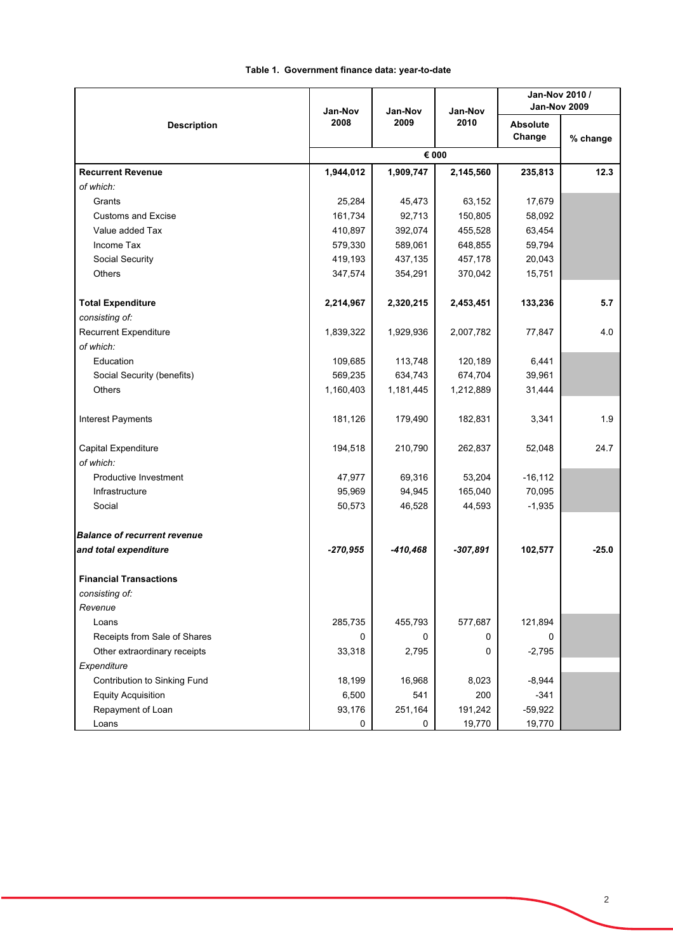|                                     | Jan-Nov      | Jan-Nov    | Jan-Nov    | Jan-Nov 2010 /<br><b>Jan-Nov 2009</b> |          |  |  |
|-------------------------------------|--------------|------------|------------|---------------------------------------|----------|--|--|
| <b>Description</b>                  | 2008<br>2009 |            | 2010       | <b>Absolute</b><br>Change             | % change |  |  |
|                                     |              | € 000      |            |                                       |          |  |  |
| <b>Recurrent Revenue</b>            | 1,944,012    | 1,909,747  | 2,145,560  | 235,813                               | 12.3     |  |  |
| of which:                           |              |            |            |                                       |          |  |  |
| Grants                              | 25,284       | 45,473     | 63,152     | 17,679                                |          |  |  |
| <b>Customs and Excise</b>           | 161,734      | 92,713     | 150,805    | 58,092                                |          |  |  |
| Value added Tax                     | 410,897      | 392,074    | 455,528    | 63,454                                |          |  |  |
| Income Tax                          | 579,330      | 589,061    | 648,855    | 59,794                                |          |  |  |
| Social Security                     | 419,193      | 437,135    | 457,178    | 20,043                                |          |  |  |
| Others                              | 347,574      | 354,291    | 370,042    | 15,751                                |          |  |  |
| <b>Total Expenditure</b>            | 2,214,967    | 2,320,215  | 2,453,451  | 133,236                               | 5.7      |  |  |
| consisting of:                      |              |            |            |                                       |          |  |  |
| <b>Recurrent Expenditure</b>        | 1,839,322    | 1,929,936  | 2,007,782  | 77,847                                | 4.0      |  |  |
| of which:                           |              |            |            |                                       |          |  |  |
| Education                           | 109,685      | 113,748    | 120,189    | 6,441                                 |          |  |  |
| Social Security (benefits)          | 569,235      | 634,743    | 674,704    | 39,961                                |          |  |  |
| Others                              | 1,160,403    | 1,181,445  | 1,212,889  | 31,444                                |          |  |  |
| Interest Payments                   | 181,126      | 179,490    | 182,831    | 3,341                                 | 1.9      |  |  |
| Capital Expenditure                 | 194,518      | 210,790    | 262,837    | 52,048                                | 24.7     |  |  |
| of which:                           |              |            |            |                                       |          |  |  |
| Productive Investment               | 47,977       | 69,316     | 53,204     | $-16, 112$                            |          |  |  |
| Infrastructure                      | 95,969       | 94,945     | 165,040    | 70,095                                |          |  |  |
| Social                              | 50,573       | 46,528     | 44,593     | $-1,935$                              |          |  |  |
| <b>Balance of recurrent revenue</b> |              |            |            |                                       |          |  |  |
| and total expenditure               | $-270,955$   | $-410,468$ | $-307,891$ | 102,577                               | $-25.0$  |  |  |
| <b>Financial Transactions</b>       |              |            |            |                                       |          |  |  |
| consisting of:                      |              |            |            |                                       |          |  |  |
| Revenue                             |              |            |            |                                       |          |  |  |
| Loans                               | 285,735      | 455,793    | 577,687    | 121,894                               |          |  |  |
| Receipts from Sale of Shares        | 0            | 0          | 0          | 0                                     |          |  |  |
| Other extraordinary receipts        | 33,318       | 2,795      | 0          | $-2,795$                              |          |  |  |
| Expenditure                         |              |            |            |                                       |          |  |  |
| Contribution to Sinking Fund        | 18,199       | 16,968     | 8,023      | $-8,944$                              |          |  |  |
| <b>Equity Acquisition</b>           | 6,500        | 541        | 200        | $-341$                                |          |  |  |
| Repayment of Loan                   | 93,176       | 251,164    | 191,242    | $-59,922$                             |          |  |  |
| Loans                               | 0            | 0          | 19,770     | 19,770                                |          |  |  |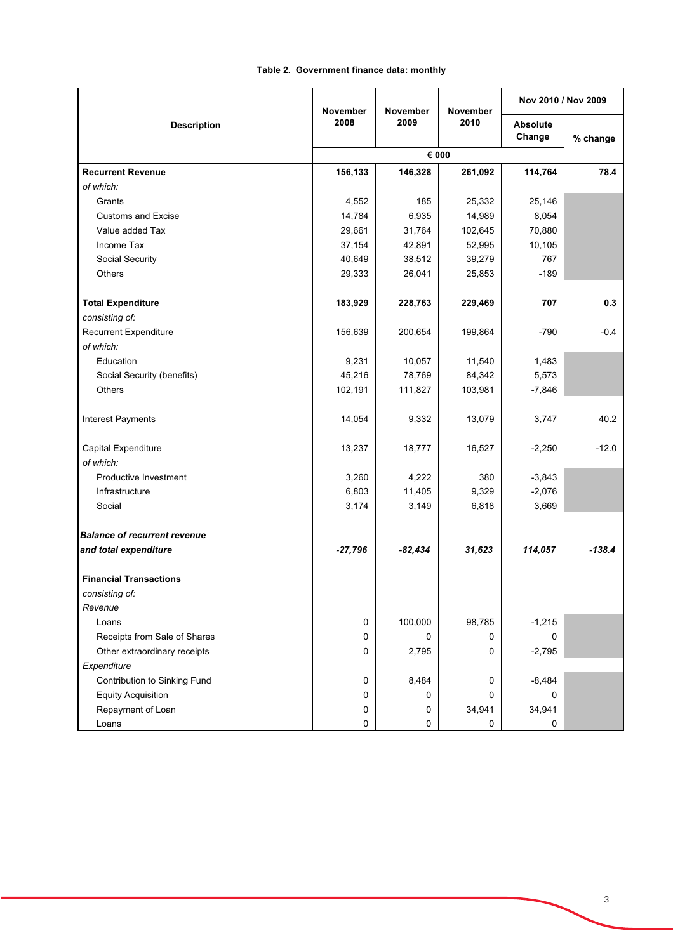|                                     | November<br>November<br>2008<br>2009 |           | <b>November</b> | Nov 2010 / Nov 2009       |          |
|-------------------------------------|--------------------------------------|-----------|-----------------|---------------------------|----------|
| <b>Description</b>                  |                                      |           | 2010            | <b>Absolute</b><br>Change | % change |
|                                     |                                      |           |                 |                           |          |
| <b>Recurrent Revenue</b>            | 156,133                              | 146,328   | 261,092         | 114,764                   | 78.4     |
| of which:                           |                                      |           |                 |                           |          |
| Grants                              | 4,552                                | 185       | 25,332          | 25,146                    |          |
| <b>Customs and Excise</b>           | 14,784                               | 6,935     | 14,989          | 8,054                     |          |
| Value added Tax                     | 29,661                               | 31,764    | 102,645         | 70,880                    |          |
| Income Tax                          | 37,154                               | 42,891    | 52,995          | 10,105                    |          |
| Social Security                     | 40,649                               | 38,512    | 39,279          | 767                       |          |
| Others                              | 29,333                               | 26,041    | 25,853          | $-189$                    |          |
| <b>Total Expenditure</b>            | 183,929                              | 228,763   | 229,469         | 707                       | 0.3      |
| consisting of:                      |                                      |           |                 |                           |          |
| <b>Recurrent Expenditure</b>        | 156,639                              | 200,654   | 199,864         | -790                      | $-0.4$   |
| of which:                           |                                      |           |                 |                           |          |
| Education                           | 9,231                                | 10,057    | 11,540          | 1,483                     |          |
| Social Security (benefits)          | 45,216                               | 78,769    | 84,342          | 5,573                     |          |
| Others                              | 102,191                              | 111,827   | 103,981         | $-7,846$                  |          |
| <b>Interest Payments</b>            | 14,054                               | 9,332     | 13,079          | 3,747                     | 40.2     |
| Capital Expenditure                 | 13,237                               | 18,777    | 16,527          | $-2,250$                  | $-12.0$  |
| of which:                           |                                      |           |                 |                           |          |
| Productive Investment               | 3,260                                | 4,222     | 380             | $-3,843$                  |          |
| Infrastructure                      | 6,803                                | 11,405    | 9,329           | $-2,076$                  |          |
| Social                              | 3,174                                | 3,149     | 6,818           | 3,669                     |          |
| <b>Balance of recurrent revenue</b> |                                      |           |                 |                           |          |
| and total expenditure               | $-27,796$                            | $-82,434$ | 31,623          | 114,057                   | $-138.4$ |
| <b>Financial Transactions</b>       |                                      |           |                 |                           |          |
| consisting of:                      |                                      |           |                 |                           |          |
| Revenue                             |                                      |           |                 |                           |          |
| Loans                               | 0                                    | 100,000   | 98,785          | $-1,215$                  |          |
| Receipts from Sale of Shares        | 0                                    | 0         | 0               | 0                         |          |
| Other extraordinary receipts        | 0                                    | 2,795     | 0               | $-2,795$                  |          |
| Expenditure                         |                                      |           |                 |                           |          |
| Contribution to Sinking Fund        | 0                                    | 8,484     | 0               | $-8,484$                  |          |
| <b>Equity Acquisition</b>           | 0                                    | 0         | 0               | 0                         |          |
| Repayment of Loan                   | 0                                    | 0         | 34,941          | 34,941                    |          |
| Loans                               | 0                                    | 0         | 0               | 0                         |          |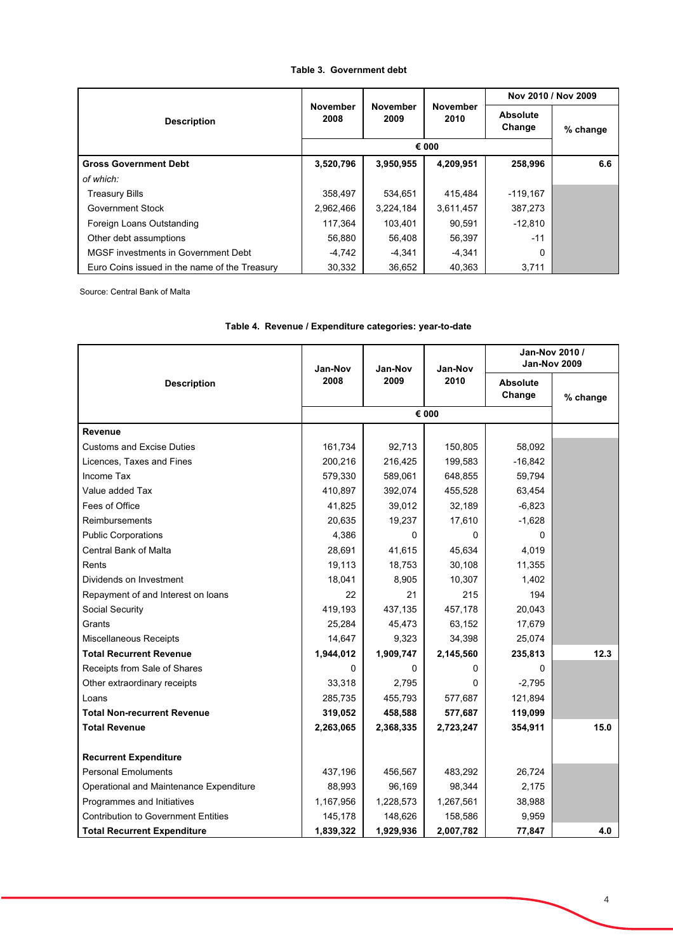### **Table 3. Government debt**

|                                               |                         |                         |                         | Nov 2010 / Nov 2009       |          |
|-----------------------------------------------|-------------------------|-------------------------|-------------------------|---------------------------|----------|
| <b>Description</b>                            | <b>November</b><br>2008 | <b>November</b><br>2009 | <b>November</b><br>2010 | <b>Absolute</b><br>Change | % change |
|                                               | € 000                   |                         |                         |                           |          |
| <b>Gross Government Debt</b>                  | 3,520,796               | 3.950.955               | 4,209,951               | 258.996                   | 6.6      |
| of which:                                     |                         |                         |                         |                           |          |
| <b>Treasury Bills</b>                         | 358,497                 | 534,651                 | 415,484                 | $-119,167$                |          |
| Government Stock                              | 2,962,466               | 3,224,184               | 3,611,457               | 387,273                   |          |
| Foreign Loans Outstanding                     | 117.364                 | 103.401                 | 90.591                  | $-12.810$                 |          |
| Other debt assumptions                        | 56,880                  | 56.408                  | 56,397                  | $-11$                     |          |
| MGSF investments in Government Debt           | -4,742                  | $-4,341$                | $-4,341$                | $\Omega$                  |          |
| Euro Coins issued in the name of the Treasury | 30,332                  | 36,652                  | 40,363                  | 3,711                     |          |

Source: Central Bank of Malta

|                                            | Jan-Nov   | Jan-Nov   | Jan-Nov   | Jan-Nov 2010 /<br><b>Jan-Nov 2009</b> |          |
|--------------------------------------------|-----------|-----------|-----------|---------------------------------------|----------|
| <b>Description</b>                         | 2008      | 2009      | 2010      | <b>Absolute</b><br>Change             | % change |
|                                            |           |           | € 000     |                                       |          |
| <b>Revenue</b>                             |           |           |           |                                       |          |
| <b>Customs and Excise Duties</b>           | 161,734   | 92,713    | 150,805   | 58,092                                |          |
| Licences, Taxes and Fines                  | 200,216   | 216,425   | 199,583   | $-16,842$                             |          |
| <b>Income Tax</b>                          | 579,330   | 589,061   | 648,855   | 59,794                                |          |
| Value added Tax                            | 410,897   | 392,074   | 455,528   | 63,454                                |          |
| Fees of Office                             | 41,825    | 39,012    | 32,189    | $-6,823$                              |          |
| <b>Reimbursements</b>                      | 20,635    | 19,237    | 17,610    | $-1,628$                              |          |
| <b>Public Corporations</b>                 | 4,386     | $\Omega$  | 0         | 0                                     |          |
| <b>Central Bank of Malta</b>               | 28,691    | 41,615    | 45,634    | 4,019                                 |          |
| Rents                                      | 19,113    | 18,753    | 30,108    | 11,355                                |          |
| Dividends on Investment                    | 18,041    | 8,905     | 10,307    | 1,402                                 |          |
| Repayment of and Interest on loans         | 22        | 21        | 215       | 194                                   |          |
| Social Security                            | 419,193   | 437,135   | 457,178   | 20,043                                |          |
| Grants                                     | 25,284    | 45,473    | 63,152    | 17,679                                |          |
| Miscellaneous Receipts                     | 14,647    | 9,323     | 34,398    | 25,074                                |          |
| <b>Total Recurrent Revenue</b>             | 1,944,012 | 1,909,747 | 2,145,560 | 235,813                               | 12.3     |
| Receipts from Sale of Shares               | 0         | 0         | 0         | $\Omega$                              |          |
| Other extraordinary receipts               | 33,318    | 2,795     | 0         | $-2,795$                              |          |
| Loans                                      | 285,735   | 455,793   | 577,687   | 121,894                               |          |
| <b>Total Non-recurrent Revenue</b>         | 319,052   | 458,588   | 577,687   | 119,099                               |          |
| <b>Total Revenue</b>                       | 2,263,065 | 2,368,335 | 2,723,247 | 354,911                               | 15.0     |
|                                            |           |           |           |                                       |          |
| <b>Recurrent Expenditure</b>               |           |           |           |                                       |          |
| <b>Personal Emoluments</b>                 | 437,196   | 456,567   | 483,292   | 26,724                                |          |
| Operational and Maintenance Expenditure    | 88,993    | 96,169    | 98,344    | 2,175                                 |          |
| Programmes and Initiatives                 | 1,167,956 | 1,228,573 | 1,267,561 | 38,988                                |          |
| <b>Contribution to Government Entities</b> | 145,178   | 148,626   | 158,586   | 9,959                                 |          |
| <b>Total Recurrent Expenditure</b>         | 1,839,322 | 1,929,936 | 2,007,782 | 77,847                                | 4.0      |

#### **Table 4. Revenue / Expenditure categories: year-to-date**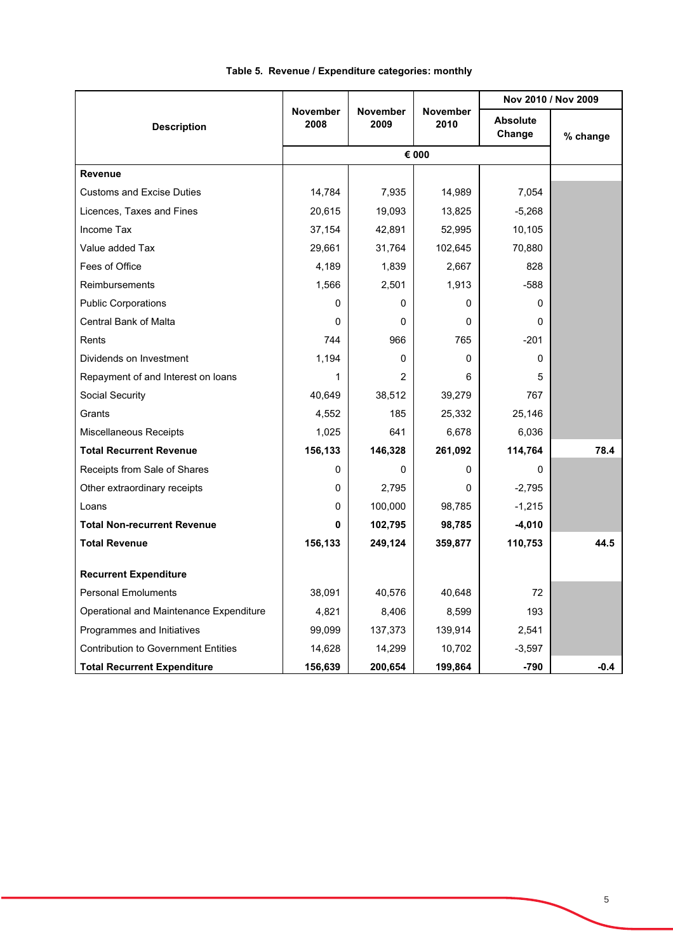|                                            |                         |                         | November<br>2010 | Nov 2010 / Nov 2009       |          |
|--------------------------------------------|-------------------------|-------------------------|------------------|---------------------------|----------|
| <b>Description</b>                         | <b>November</b><br>2008 | <b>November</b><br>2009 |                  | <b>Absolute</b><br>Change | % change |
|                                            |                         |                         | € 000            |                           |          |
| Revenue                                    |                         |                         |                  |                           |          |
| <b>Customs and Excise Duties</b>           | 14,784                  | 7,935                   | 14,989           | 7.054                     |          |
| Licences, Taxes and Fines                  | 20,615                  | 19,093                  | 13,825           | $-5,268$                  |          |
| Income Tax                                 | 37,154                  | 42,891                  | 52,995           | 10,105                    |          |
| Value added Tax                            | 29,661                  | 31,764                  | 102,645          | 70,880                    |          |
| Fees of Office                             | 4,189                   | 1,839                   | 2,667            | 828                       |          |
| Reimbursements                             | 1,566                   | 2,501                   | 1,913            | $-588$                    |          |
| <b>Public Corporations</b>                 | 0                       | 0                       | 0                | $\Omega$                  |          |
| <b>Central Bank of Malta</b>               | 0                       | 0                       | 0                | <sup>0</sup>              |          |
| Rents                                      | 744                     | 966                     | 765              | $-201$                    |          |
| Dividends on Investment                    | 1,194                   | 0                       | $\Omega$         | $\Omega$                  |          |
| Repayment of and Interest on loans         | 1                       | 2                       | 6                | 5                         |          |
| Social Security                            | 40,649                  | 38,512                  | 39,279           | 767                       |          |
| Grants                                     | 4,552                   | 185                     | 25,332           | 25,146                    |          |
| Miscellaneous Receipts                     | 1,025                   | 641                     | 6,678            | 6,036                     |          |
| <b>Total Recurrent Revenue</b>             | 156,133                 | 146,328                 | 261,092          | 114,764                   | 78.4     |
| Receipts from Sale of Shares               | 0                       | 0                       | $\Omega$         | $\Omega$                  |          |
| Other extraordinary receipts               | 0                       | 2,795                   | $\Omega$         | $-2,795$                  |          |
| Loans                                      | 0                       | 100,000                 | 98,785           | $-1,215$                  |          |
| <b>Total Non-recurrent Revenue</b>         | 0                       | 102,795                 | 98,785           | $-4,010$                  |          |
| <b>Total Revenue</b>                       | 156,133                 | 249,124                 | 359,877          | 110,753                   | 44.5     |
| <b>Recurrent Expenditure</b>               |                         |                         |                  |                           |          |
| <b>Personal Emoluments</b>                 | 38,091                  | 40,576                  | 40,648           | 72                        |          |
| Operational and Maintenance Expenditure    | 4,821                   | 8,406                   | 8,599            | 193                       |          |
| Programmes and Initiatives                 | 99,099                  | 137,373                 | 139,914          | 2,541                     |          |
| <b>Contribution to Government Entities</b> | 14,628                  | 14,299                  | 10,702           | $-3,597$                  |          |
| <b>Total Recurrent Expenditure</b>         | 156,639                 | 200,654                 | 199,864          | $-790$                    | -0.4     |

## **Table 5. Revenue / Expenditure categories: monthly**